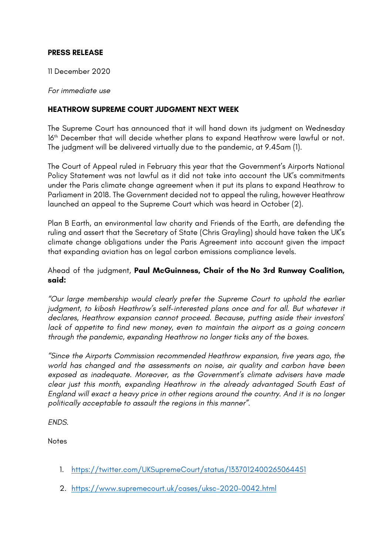## **PRESS RELEASE**

11 December 2020

*For immediate use*

## **HEATHROW SUPREME COURT JUDGMENT NEXT WEEK**

The Supreme Court has announced that it will hand down its judgment on Wednesday 16<sup>th</sup> December that will decide whether plans to expand Heathrow were lawful or not. The judgment will be delivered virtually due to the pandemic, at 9.45am (1).

The Court of Appeal ruled in February this year that the Government's Airports National Policy Statement was not lawful as it did not take into account the UK's commitments under the Paris climate change agreement when it put its plans to expand Heathrow to Parliament in 2018. The Government decided not to appeal the ruling, however Heathrow launched an appeal to the Supreme Court which was heard in October (2).

Plan B Earth, an environmental law charity and Friends of the Earth, are defending the ruling and assert that the Secretary of State (Chris Grayling) should have taken the UK's climate change obligations under the Paris Agreement into account given the impact that expanding aviation has on legal carbon emissions compliance levels.

## Ahead of the judgment, **Paul McGuinness, Chair of the No 3rd Runway Coalition, said:**

*"Our large membership would clearly prefer the Supreme Court to uphold the earlier*  judgment, to kibosh Heathrow's self-interested plans once and for all. But whatever it *declares, Heathrow expansion cannot proceed. Because, putting aside their investors' lack of appetite to find new money, even to maintain the airport as a going concern through the pandemic, expanding Heathrow no longer ticks any of the boxes.* 

*"Since the Airports Commission recommended Heathrow expansion, five years ago, the world has changed and the assessments on noise, air quality and carbon have been exposed as inadequate. Moreover, as the Government's climate advisers have made clear just this month, expanding Heathrow in the already advantaged South East of England will exact a heavy price in other regions around the country. And it is no longer politically acceptable to assault the regions in this manner".*

*ENDS.*

Notes

- 1. https://twitter.com/UKSupremeCourt/status/1337012400265064451
- 2. https://www.supremecourt.uk/cases/uksc-2020-0042.html